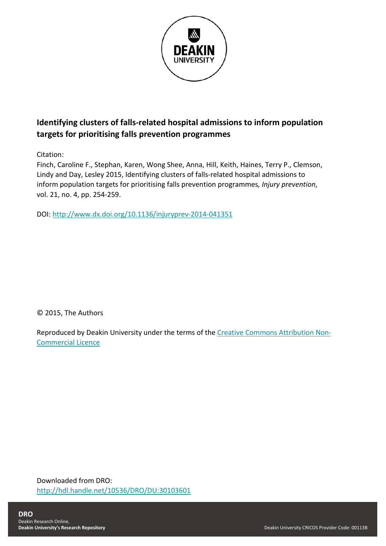

# **Identifying clusters of falls-related hospital admissions to inform population targets for prioritising falls prevention programmes**

Citation:

Finch, Caroline F., Stephan, Karen, Wong Shee, Anna, Hill, Keith, Haines, Terry P., Clemson, Lindy and Day, Lesley 2015, Identifying clusters of falls-related hospital admissions to inform population targets for prioritising falls prevention programmes*, Injury prevention*, vol. 21, no. 4, pp. 254-259.

DOI:<http://www.dx.doi.org/10.1136/injuryprev-2014-041351>

© 2015, The Authors

Reproduced by Deakin University under the terms of the [Creative Commons Attribution Non-](https://creativecommons.org/licenses/by-nc/4.0/)[Commercial Licence](https://creativecommons.org/licenses/by-nc/4.0/)

Downloaded from DRO: <http://hdl.handle.net/10536/DRO/DU:30103601>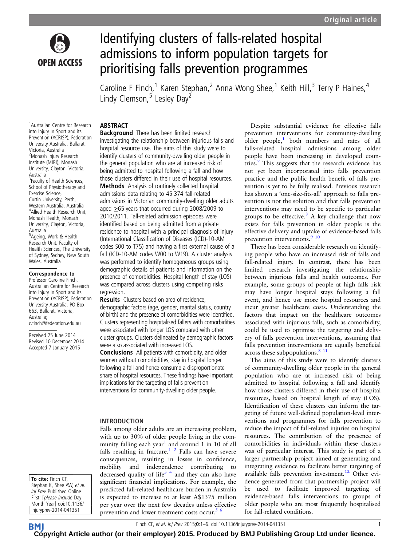

# Identifying clusters of falls-related hospital admissions to inform population targets for prioritising falls prevention programmes

Caroline F Finch,<sup>1</sup> Karen Stephan,<sup>2</sup> Anna Wong Shee,<sup>1</sup> Keith Hill,<sup>3</sup> Terry P Haines,<sup>4</sup> Lindy Clemson,  $5$  Lesley Day<sup>2</sup>

#### ABSTRACT

1 Australian Centre for Research into Injury In Sport and its Prevention (ACRISP), Federation University Australia, Ballarat, Victoria, Australia <sup>2</sup> Monash Injury Research Institute (MIRI), Monash University, Clayton, Victoria, **Australia** <sup>3</sup> Faculty of Health Sciences, School of Physiotherapy and Exercise Science, Curtin University, Perth, Western Australia, Australia 4 Allied Health Research Unit, Monash Health, Monash University, Clayton, Victoria, Australia 5 Ageing, Work & Health Research Unit, Faculty of Health Sciences, The University of Sydney, Sydney, New South Wales, Australia

#### Correspondence to

Professor Caroline Finch, Australian Centre for Research into Injury In Sport and its Prevention (ACRISP), Federation University Australia, PO Box 663, Ballarat, Victoria, Australia; c.finch@federation.edu.au

Received 25 June 2014 Revised 10 December 2014 Accepted 7 January 2015

To cite: Finch CF, Stephan K, Shee AW, et al. Inj Prev Published Online First: [please include Day Month Year] doi:10.1136/ injuryprev-2014-041351

**Background** There has been limited research investigating the relationship between injurious falls and hospital resource use. The aims of this study were to identify clusters of community-dwelling older people in the general population who are at increased risk of being admitted to hospital following a fall and how those clusters differed in their use of hospital resources. Methods Analysis of routinely collected hospital admissions data relating to 45 374 fall-related admissions in Victorian community-dwelling older adults aged ≥65 years that occurred during 2008/2009 to 2010/2011. Fall-related admission episodes were identified based on being admitted from a private residence to hospital with a principal diagnosis of injury (International Classification of Diseases (ICD)-10-AM codes S00 to T75) and having a first external cause of a fall (ICD-10-AM codes W00 to W19). A cluster analysis was performed to identify homogeneous groups using demographic details of patients and information on the presence of comorbidities. Hospital length of stay (LOS) was compared across clusters using competing risks regression.

Results Clusters based on area of residence, demographic factors (age, gender, marital status, country of birth) and the presence of comorbidities were identified. Clusters representing hospitalised fallers with comorbidities were associated with longer LOS compared with other cluster groups. Clusters delineated by demographic factors were also associated with increased LOS. Conclusions All patients with comorbidity, and older women without comorbidities, stay in hospital longer following a fall and hence consume a disproportionate share of hospital resources. These findings have important

implications for the targeting of falls prevention interventions for community-dwelling older people.

#### INTRODUCTION

Falls among older adults are an increasing problem, with up to 30% of older people living in the com-munity falling each year<sup>[1](#page-6-0)</sup> and around 1 in 10 of all falls resulting in fracture.<sup>1</sup> <sup>2</sup> Falls can have severe consequences, resulting in losses in confidence, mobility and independence contributing to decreased quality of life<sup>3</sup>  $4$  and they can also have significant financial implications. For example, the predicted fall-related healthcare burden in Australia is expected to increase to at least A\$1375 million per year over the next few decades unless effective prevention and lower treatment costs occur.<sup>[5 6](#page-6-0)</sup>

Despite substantial evidence for effective falls prevention interventions for community-dwelling older people, $1$  both numbers and rates of all falls-related hospital admissions among older people have been increasing in developed coun-tries.<sup>[7](#page-6-0)</sup> This suggests that the research evidence has not yet been incorporated into falls prevention practice and the public health benefit of falls prevention is yet to be fully realised. Previous research has shown a 'one-size-fits-all' approach to falls prevention is not the solution and that falls prevention interventions may need to be specific to particular groups to be effective.<sup>[8](#page-6-0)</sup> A key challenge that now exists for falls prevention in older people is the effective delivery and uptake of evidence-based falls prevention interventions.<sup>9</sup> <sup>10</sup>

There has been considerable research on identifying people who have an increased risk of falls and fall-related injury. In contrast, there has been limited research investigating the relationship between injurious falls and health outcomes. For example, some groups of people at high falls risk may have longer hospital stays following a fall event, and hence use more hospital resources and incur greater healthcare costs. Understanding the factors that impact on the healthcare outcomes associated with injurious falls, such as comorbidity, could be used to optimise the targeting and delivery of falls prevention interventions, assuming that falls prevention interventions are equally beneficial across these subpopulations.<sup>8</sup> <sup>11</sup>

The aims of this study were to identify clusters of community-dwelling older people in the general population who are at increased risk of being admitted to hospital following a fall and identify how those clusters differed in their use of hospital resources, based on hospital length of stay (LOS). Identification of these clusters can inform the targeting of future well-defined population-level interventions and programmes for falls prevention to reduce the impact of fall-related injuries on hospital resources. The contribution of the presence of comorbidities in individuals within these clusters was of particular interest. This study is part of a larger partnership project aimed at generating and integrating evidence to facilitate better targeting of available falls prevention investment.<sup>[12](#page-6-0)</sup> Other evidence generated from that partnership project will be used to facilitate improved targeting of evidence-based falls interventions to groups of older people who are most frequently hospitalised for fall-related conditions.

Finch CF, et al. Inj Prev 2015;0:1–6. doi:10.1136/injuryprev-2014-041351 1

**BM [Cop](http://injuryprevention.bmj.com)yright Article author (or their employer) 2015. Produced by BMJ Publishing Group Ltd under licence.**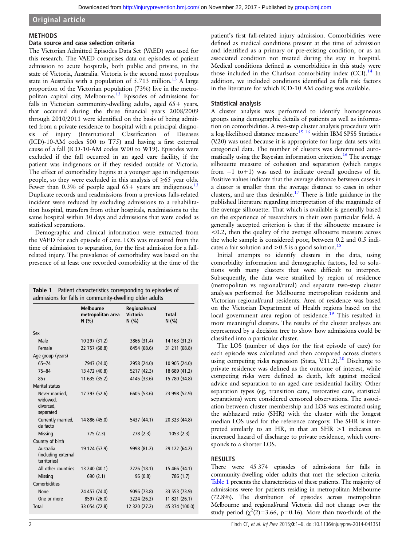#### <span id="page-2-0"></span>Original article

#### METHODS

#### Data source and case selection criteria

The Victorian Admitted Episodes Data Set (VAED) was used for this research. The VAED comprises data on episodes of patient admission to acute hospitals, both public and private, in the state of Victoria, Australia. Victoria is the second most populous state in Australia with a population of  $5.713$  $5.713$  million.<sup>13</sup> A large proportion of the Victorian population (73%) live in the metro-politan capital city, Melbourne.<sup>[13](#page-6-0)</sup> Episodes of admissions for falls in Victorian community-dwelling adults, aged 65+ years, that occurred during the three financial years 2008/2009 through 2010/2011 were identified on the basis of being admitted from a private residence to hospital with a principal diagnosis of injury (International Classification of Diseases (ICD)-10-AM codes S00 to T75) and having a first external cause of a fall (ICD-10-AM codes W00 to W19). Episodes were excluded if the fall occurred in an aged care facility, if the patient was indigenous or if they resided outside of Victoria. The effect of comorbidity begins at a younger age in indigenous people, so they were excluded in this analysis of  $\geq 65$  year olds. Fewer than 0.3% of people aged  $65+$  years are indigenous.<sup>13</sup> Duplicate records and readmissions from a previous falls-related incident were reduced by excluding admissions to a rehabilitation hospital, transfers from other hospitals, readmissions to the same hospital within 30 days and admissions that were coded as statistical separations.

Demographic and clinical information were extracted from the VAED for each episode of care. LOS was measured from the time of admission to separation, for the first admission for a fallrelated injury. The prevalence of comorbidity was based on the presence of at least one recorded comorbidity at the time of the

| Table 1 Patient characteristics corresponding to episodes of |
|--------------------------------------------------------------|
| admissions for falls in community-dwelling older adults      |

|                                                      | <b>Melbourne</b><br>metropolitan area<br>N(% ) | Regional/rural<br><b>Victoria</b><br>N(% ) | <b>Total</b><br>N(% ) |
|------------------------------------------------------|------------------------------------------------|--------------------------------------------|-----------------------|
| Sex                                                  |                                                |                                            |                       |
| Male                                                 | 10 297 (31.2)                                  | 3866 (31.4)                                | 14 163 (31.2)         |
| Female                                               | 22 757 (68.8)                                  | 8454 (68.6)                                | 31 211 (68.8)         |
| Age group (years)                                    |                                                |                                            |                       |
| $65 - 74$                                            | 7947 (24.0)                                    | 2958 (24.0)                                | 10 905 (24.0)         |
| $75 - 84$                                            | 13 472 (40.8)                                  | 5217 (42.3)                                | 18 689 (41.2)         |
| $85+$                                                | 11 635 (35.2)                                  | 4145 (33.6)                                | 15 780 (34.8)         |
| <b>Marital status</b>                                |                                                |                                            |                       |
| Never married,<br>widowed,<br>divorced,<br>separated | 17 393 (52.6)                                  | 6605 (53.6)                                | 23 998 (52.9)         |
| Currently married,<br>de facto                       | 14 886 (45.0)                                  | 5437 (44.1)                                | 20 323 (44.8)         |
| Missing                                              | 775(2.3)                                       | 278(2.3)                                   | 1053(2.3)             |
| Country of birth                                     |                                                |                                            |                       |
| Australia<br>(including external<br>territories)     | 19 124 (57.9)                                  | 9998 (81.2)                                | 29 122 (64.2)         |
| All other countries                                  | 13 240 (40.1)                                  | 2226 (18.1)                                | 15 466 (34.1)         |
| <b>Missing</b>                                       | 690(2.1)                                       | 96 (0.8)                                   | 786 (1.7)             |
| Comorbidities                                        |                                                |                                            |                       |
| <b>None</b>                                          | 24 457 (74.0)                                  | 9096 (73.8)                                | 33 553 (73.9)         |
| One or more                                          | 8597 (26.0)                                    | 3224 (26.2)                                | 11 821 (26.1)         |
| Total                                                | 33 054 (72.8)                                  | 12 320 (27.2)                              | 45 374 (100.0)        |

patient's first fall-related injury admission. Comorbidities were defined as medical conditions present at the time of admission and identified as a primary or pre-existing condition, or as an associated condition not treated during the stay in hospital. Medical conditions defined as comorbidities in this study were those included in the Charlson comorbidity index  $(CCI)$ .<sup>[14](#page-6-0)</sup> In addition, we included conditions identified as falls risk factors in the literature for which ICD-10 AM coding was available.

#### Statistical analysis

A cluster analysis was performed to identify homogeneous groups using demographic details of patients as well as information on comorbidities. A two-step cluster analysis procedure with a log-likelihood distance measure<sup>15</sup> <sup>16</sup> within IBM SPSS Statistics (V.20) was used because it is appropriate for large data sets with categorical data. The number of clusters was determined auto-matically using the Bayesian information criterion.<sup>[16](#page-6-0)</sup> The average silhouette measure of cohesion and separation (which ranges from −1 to+1) was used to indicate overall goodness of fit. Positive values indicate that the average distance between cases in a cluster is smaller than the average distance to cases in other clusters, and are thus desirable.[17](#page-6-0) There is little guidance in the published literature regarding interpretation of the magnitude of the average silhouette. That which is available is generally based on the experience of researchers in their own particular field. A generally accepted criterion is that if the silhouette measure is <0.2, then the quality of the average silhouette measure across the whole sample is considered poor, between 0.2 and 0.5 indicates a fair solution and  $> 0.5$  is a good solution.<sup>[18](#page-6-0)</sup>

Initial attempts to identify clusters in the data, using comorbidity information and demographic factors, led to solutions with many clusters that were difficult to interpret. Subsequently, the data were stratified by region of residence (metropolitan vs regional/rural) and separate two-step cluster analyses performed for Melbourne metropolitan residents and Victorian regional/rural residents. Area of residence was based on the Victorian Department of Health regions based on the local government area region of residence.<sup>[19](#page-6-0)</sup> This resulted in more meaningful clusters. The results of the cluster analyses are represented by a decision tree to show how admissions could be classified into a particular cluster.

The LOS (number of days for the first episode of care) for each episode was calculated and then compared across clusters using competing risks regression (Stata, V.11.2).<sup>[20](#page-6-0)</sup> Discharge to private residence was defined as the outcome of interest, while competing risks were defined as death, left against medical advice and separation to an aged care residential facility. Other separation types (eg, transition care, restorative care, statistical separations) were considered censored observations. The association between cluster membership and LOS was estimated using the subhazard ratio (SHR) with the cluster with the longest median LOS used for the reference category. The SHR is interpreted similarly to an HR, in that an SHR >1 indicates an increased hazard of discharge to private residence, which corresponds to a shorter LOS.

#### **RESULTS**

There were 45 374 episodes of admissions for falls in community-dwelling older adults that met the selection criteria. Table 1 presents the characteristics of these patients. The majority of admissions were for patients residing in metropolitan Melbourne (72.8%). The distribution of episodes across metropolitan Melbourne and regional/rural Victoria did not change over the study period  $(\chi^2(2)=3.66, p=0.16)$ . More than two-thirds of the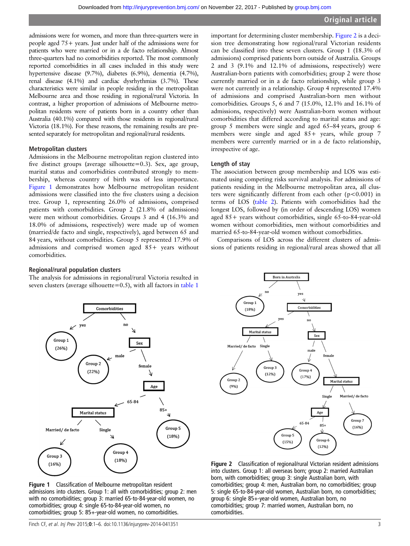admissions were for women, and more than three-quarters were in people aged 75+ years. Just under half of the admissions were for patients who were married or in a de facto relationship. Almost three-quarters had no comorbidities reported. The most commonly reported comorbidities in all cases included in this study were hypertensive disease (9.7%), diabetes (6.9%), dementia (4.7%), renal disease (4.1%) and cardiac dysrhythmias (3.7%). These characteristics were similar in people residing in the metropolitan Melbourne area and those residing in regional/rural Victoria. In contrast, a higher proportion of admissions of Melbourne metropolitan residents were of patients born in a country other than Australia (40.1%) compared with those residents in regional/rural Victoria (18.1%). For these reasons, the remaining results are presented separately for metropolitan and regional/rural residents.

#### Metropolitan clusters

Admissions in the Melbourne metropolitan region clustered into five distinct groups (average silhouette=0.3). Sex, age group, marital status and comorbidities contributed strongly to membership, whereas country of birth was of less importance. Figure 1 demonstrates how Melbourne metropolitan resident admissions were classified into the five clusters using a decision tree. Group 1, representing 26.0% of admissions, comprised patients with comorbidities. Group 2 (21.8% of admissions) were men without comorbidities. Groups 3 and 4 (16.3% and 18.0% of admissions, respectively) were made up of women (married/de facto and single, respectively), aged between 65 and 84 years, without comorbidities. Group 5 represented 17.9% of admissions and comprised women aged 85+ years without comorbidities.

#### important for determining cluster membership. Figure 2 is a decision tree demonstrating how regional/rural Victorian residents can be classified into these seven clusters. Group 1 (18.3% of admissions) comprised patients born outside of Australia. Groups 2 and 3 (9.1% and 12.1% of admissions, respectively) were Australian-born patients with comorbidities; group 2 were those currently married or in a de facto relationship, while group 3 were not currently in a relationship. Group 4 represented 17.4% of admissions and comprised Australian-born men without comorbidities. Groups 5, 6 and 7 (15.0%, 12.1% and 16.1% of admissions, respectively) were Australian-born women without comorbidities that differed according to marital status and age: group 5 members were single and aged 65–84 years, group 6 members were single and aged  $85+$  years, while group 7 members were currently married or in a de facto relationship, irrespective of age.

#### Length of stay

The association between group membership and LOS was estimated using competing risks survival analysis. For admissions of patients residing in the Melbourne metropolitan area, all clusters were significantly different from each other  $(p<0.001)$  in terms of LOS [\(table 2\)](#page-5-0). Patients with comorbidities had the longest LOS, followed by (in order of descending LOS) women aged 85+ years without comorbidities, single 65-to-84-year-old women without comorbidities, men without comorbidities and married 65-to-84-year-old women without comorbidities.

Comparisons of LOS across the different clusters of admissions of patients residing in regional/rural areas showed that all

#### Regional/rural population clusters

The analysis for admissions in regional/rural Victoria resulted in seven clusters (average silhouette=0.5), with all factors in [table 1](#page-2-0)



Figure 1 Classification of Melbourne metropolitan resident admissions into clusters. Group 1: all with comorbidities; group 2: men with no comorbidities; group 3: married 65-to-84-year-old women, no comorbidities; group 4: single 65-to-84-year-old women, no comorbidities; group 5: 85+-year-old women, no comorbidities.



Figure 2 Classification of regional/rural Victorian resident admissions into clusters. Group 1: all overseas born; group 2: married Australian born, with comorbidities; group 3: single Australian born, with comorbidities; group 4: men, Australian born, no comorbidities; group 5: single 65-to-84-year-old women, Australian born, no comorbidities; group 6: single 85+-year-old women, Australian born, no comorbidities; group 7: married women, Australian born, no comorbidities.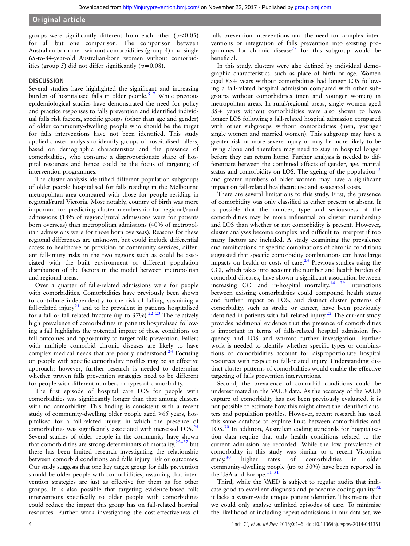### Original article

groups were significantly different from each other  $(p<0.05)$ for all but one comparison. The comparison between Australian-born men without comorbidities (group 4) and single 65-to-84-year-old Australian-born women without comorbidities (group 5) did not differ significantly ( $p=0.08$ ).

#### **DISCUSSION**

Several studies have highlighted the significant and increasing burden of hospitalised falls in older people.<sup>[5 7](#page-6-0)</sup> While previous epidemiological studies have demonstrated the need for policy and practice responses to falls prevention and identified individual falls risk factors, specific groups (other than age and gender) of older community-dwelling people who should be the target for falls interventions have not been identified. This study applied cluster analysis to identify groups of hospitalised fallers, based on demographic characteristics and the presence of comorbidities, who consume a disproportionate share of hospital resources and hence could be the focus of targeting of intervention programmes.

The cluster analysis identified different population subgroups of older people hospitalised for falls residing in the Melbourne metropolitan area compared with those for people residing in regional/rural Victoria. Most notably, country of birth was more important for predicting cluster membership for regional/rural admissions (18% of regional/rural admissions were for patients born overseas) than metropolitan admissions (40% of metropolitan admissions were for those born overseas). Reasons for these regional differences are unknown, but could include differential access to healthcare or provision of community services, different fall-injury risks in the two regions such as could be associated with the built environment or different population distribution of the factors in the model between metropolitan and regional areas.

Over a quarter of falls-related admissions were for people with comorbidities. Comorbidities have previously been shown to contribute independently to the risk of falling, sustaining a fall-related injury<sup>[21](#page-6-0)</sup> and to be prevalent in patients hospitalised for a fall or fall-related fracture (up to  $37\%$ ).<sup>22 23</sup> The relatively high prevalence of comorbidities in patients hospitalised following a fall highlights the potential impact of these conditions on fall outcomes and opportunity to target falls prevention. Fallers with multiple comorbid chronic diseases are likely to have complex medical needs that are poorly understood.<sup>[24](#page-6-0)</sup> Focusing on people with specific comorbidity profiles may be an effective approach; however, further research is needed to determine whether proven falls prevention strategies need to be different for people with different numbers or types of comorbidity.

The first episode of hospital care LOS for people with comorbidities was significantly longer than that among clusters with no comorbidity. This finding is consistent with a recent study of community-dwelling older people aged ≥65 years, hospitalised for a fall-related injury, in which the presence of comorbidities was significantly associated with increased LOS.<sup>24</sup> Several studies of older people in the community have shown that comorbidities are strong determinants of mortality, $25-27$  but there has been limited research investigating the relationship between comorbid conditions and falls injury risk or outcomes. Our study suggests that one key target group for falls prevention should be older people with comorbidities, assuming that intervention strategies are just as effective for them as for other groups. It is also possible that targeting evidence-based falls interventions specifically to older people with comorbidities could reduce the impact this group has on fall-related hospital resources. Further work investigating the cost-effectiveness of

falls prevention interventions and the need for complex interventions or integration of falls prevention into existing pro-grammes for chronic disease<sup>[28](#page-6-0)</sup> for this subgroup would be beneficial.

In this study, clusters were also defined by individual demographic characteristics, such as place of birth or age. Women aged 85+ years without comorbidities had longer LOS following a fall-related hospital admission compared with other subgroups without comorbidities (men and younger women) in metropolitan areas. In rural/regional areas, single women aged 85+ years without comorbidities were also shown to have longer LOS following a fall-related hospital admission compared with other subgroups without comorbidities (men, younger single women and married women). This subgroup may have a greater risk of more severe injury or may be more likely to be living alone and therefore may need to stay in hospital longer before they can return home. Further analysis is needed to differentiate between the combined effects of gender, age, marital status and comorbidity on LOS. The ageing of the population<sup>[13](#page-6-0)</sup> and greater numbers of older women may have a significant impact on fall-related healthcare use and associated costs.

There are several limitations to this study. First, the presence of comorbidity was only classified as either present or absent. It is possible that the number, type and seriousness of the comorbidities may be more influential on cluster membership and LOS than whether or not comorbidity is present. However, cluster analyses become complex and difficult to interpret if too many factors are included. A study examining the prevalence and ramifications of specific combinations of chronic conditions suggested that specific comorbidity combinations can have large impacts on health or costs of care. $^{24}$  Previous studies using the CCI, which takes into account the number and health burden of comorbid diseases, have shown a significant association between increasing CCI and in-hospital mortality.[14 29](#page-6-0) Interactions between existing comorbidities could compound health status and further impact on LOS, and distinct cluster patterns of comorbidity, such as stroke or cancer, have been previously identified in patients with fall-related injury.<sup>[22](#page-6-0)</sup> The current study provides additional evidence that the presence of comorbidities is important in terms of falls-related hospital admission frequency and LOS and warrant further investigation. Further work is needed to identify whether specific types or combinations of comorbidities account for disproportionate hospital resources with respect to fall-related injury. Understanding distinct cluster patterns of comorbidities would enable the effective targeting of falls prevention interventions.

Second, the prevalence of comorbid conditions could be underestimated in the VAED data. As the accuracy of the VAED capture of comorbidity has not been previously evaluated, it is not possible to estimate how this might affect the identified clusters and population profiles. However, recent research has used this same database to explore links between comorbidities and LOS.<sup>[30](#page-6-0)</sup> In addition, Australian coding standards for hospitalisation data require that only health conditions related to the current admission are recorded. While the low prevalence of comorbidity in this study was similar to a recent Victorian study, $30$  higher rates of comorbidities in older community-dwelling people (up to 50%) have been reported in the USA and Europe.<sup>113</sup>

Third, while the VAED is subject to regular audits that indicate good-to-excellent diagnosis and procedure coding quality,  $32$ it lacks a system-wide unique patient identifier. This means that we could only analyse unlinked episodes of care. To minimise the likelihood of including repeat admissions in our data set, we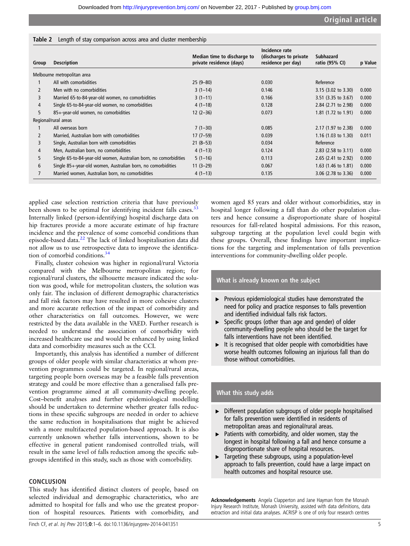#### <span id="page-5-0"></span>Table 2 Length of stay comparison across area and cluster membership

| Group          | <b>Description</b>                                                | Median time to discharge to<br>private residence (days) | Incidence rate<br>(discharges to private)<br>residence per day) | <b>Subhazard</b><br>ratio (95% CI) | p Value |
|----------------|-------------------------------------------------------------------|---------------------------------------------------------|-----------------------------------------------------------------|------------------------------------|---------|
|                | Melbourne metropolitan area                                       |                                                         |                                                                 |                                    |         |
|                | All with comorbidities                                            | $25(9-80)$                                              | 0.030                                                           | Reference                          |         |
|                | Men with no comorbidities                                         | $3(1-14)$                                               | 0.146                                                           | $3.15$ (3.02 to 3.30)              | 0.000   |
| 3              | Married 65-to-84-year-old women, no comorbidities                 | $3(1-11)$                                               | 0.166                                                           | $3.51$ (3.35 to 3.67)              | 0.000   |
| 4              | Single 65-to-84-year-old women, no comorbidities                  | $4(1-18)$                                               | 0.128                                                           | 2.84 (2.71 to 2.98)                | 0.000   |
| 5.             | 85+-year-old women, no comorbidities                              | $12(2-36)$                                              | 0.073                                                           | 1.81 (1.72 to 1.91)                | 0.000   |
|                | Regional/rural areas                                              |                                                         |                                                                 |                                    |         |
|                | All overseas born                                                 | $7(1-30)$                                               | 0.085                                                           | 2.17 (1.97 to 2.38)                | 0.000   |
| $\overline{2}$ | Married, Australian born with comorbidities                       | $17(7-59)$                                              | 0.039                                                           | 1.16 $(1.03 \text{ to } 1.30)$     | 0.011   |
| 3              | Single, Australian born with comorbidities                        | $21(8-53)$                                              | 0.034                                                           | Reference                          |         |
| 4              | Men, Australian born, no comorbidities                            | $4(1-13)$                                               | 0.124                                                           | $2.83$ (2.58 to 3.11)              | 0.000   |
| 5.             | Single 65-to-84-year-old women, Australian born, no comorbidities | $5(1-16)$                                               | 0.113                                                           | $2.65$ (2.41 to 2.92)              | 0.000   |
| 6              | Single 85+-year-old women, Australian born, no comorbidities      | $11(3-29)$                                              | 0.067                                                           | 1.63 $(1.46 \text{ to } 1.81)$     | 0.000   |
|                | Married women, Australian born, no comorbidities                  | $4(1-13)$                                               | 0.135                                                           | 3.06 (2.78 to 3.36)                | 0.000   |

applied case selection restriction criteria that have previously been shown to be optimal for identifying incident falls cases.<sup>3</sup> Internally linked (person-identifying) hospital discharge data on hip fractures provide a more accurate estimate of hip fracture incidence and the prevalence of some comorbid conditions than episode-based data.[22](#page-6-0) The lack of linked hospitalisation data did not allow us to use retrospective data to improve the identification of comorbid conditions.<sup>3</sup>

Finally, cluster cohesion was higher in regional/rural Victoria compared with the Melbourne metropolitan region; for regional/rural clusters, the silhouette measure indicated the solution was good, while for metropolitan clusters, the solution was only fair. The inclusion of different demographic characteristics and fall risk factors may have resulted in more cohesive clusters and more accurate reflection of the impact of comorbidity and other characteristics on fall outcomes. However, we were restricted by the data available in the VAED. Further research is needed to understand the association of comorbidity with increased healthcare use and would be enhanced by using linked data and comorbidity measures such as the CCI.

Importantly, this analysis has identified a number of different groups of older people with similar characteristics at whom prevention programmes could be targeted. In regional/rural areas, targeting people born overseas may be a feasible falls prevention strategy and could be more effective than a generalised falls prevention programme aimed at all community-dwelling people. Cost–benefit analyses and further epidemiological modelling should be undertaken to determine whether greater falls reductions in these specific subgroups are needed in order to achieve the same reduction in hospitalisations that might be achieved with a more multifaceted population-based approach. It is also currently unknown whether falls interventions, shown to be effective in general patient randomised controlled trials, will result in the same level of falls reduction among the specific subgroups identified in this study, such as those with comorbidity.

#### **CONCLUSION**

This study has identified distinct clusters of people, based on selected individual and demographic characteristics, who are admitted to hospital for falls and who use the greatest proportion of hospital resources. Patients with comorbidity, and

women aged 85 years and older without comorbidities, stay in hospital longer following a fall than do other population clusters and hence consume a disproportionate share of hospital resources for fall-related hospital admissions. For this reason, subgroup targeting at the population level could begin with these groups. Overall, these findings have important implications for the targeting and implementation of falls prevention interventions for community-dwelling older people.

#### What is already known on the subject

- ▸ Previous epidemiological studies have demonstrated the need for policy and practice responses to falls prevention and identified individual falls risk factors.
- ▸ Specific groups (other than age and gender) of older community-dwelling people who should be the target for falls interventions have not been identified.
- ▸ It is recognised that older people with comorbidities have worse health outcomes following an injurious fall than do those without comorbidities.

#### What this study adds

- ▸ Different population subgroups of older people hospitalised for falls prevention were identified in residents of metropolitan areas and regional/rural areas.
- ▶ Patients with comorbidity, and older women, stay the longest in hospital following a fall and hence consume a disproportionate share of hospital resources.
- ▸ Targeting these subgroups, using a population-level approach to falls prevention, could have a large impact on health outcomes and hospital resource use.

Acknowledgements Angela Clapperton and Jane Hayman from the Monash Injury Research Institute, Monash University, assisted with data definitions, data extraction and initial data analyses. ACRISP is one of only four research centres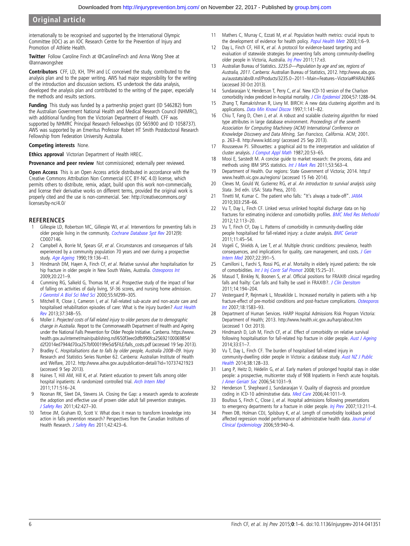#### <span id="page-6-0"></span>Original article

internationally to be recognised and supported by the International Olympic Committee (IOC) as an IOC Research Centre for the Prevention of Injury and Promotion of Athlete Health.

Twitter Follow Caroline Finch at [@CarolineFinch](http://twitter.com/CarolineFinch) and Anna Wong Shee at [@annawongshee](http://twitter.com/annawongshee)

Contributors CFF, LD, KH, TPH and LC conceived the study, contributed to the analysis plan and to the paper writing. AWS had major responsibility for the writing of the introduction and discussion sections. KS undertook the data analysis, developed the analysis plan and contributed to the writing of the paper, especially the methods and results sections.

Funding This study was funded by a partnership project grant (ID 546282) from the Australian Government National Health and Medical Research Council (NHMRC), with additional funding from the Victorian Department of Health. CFF was supported by NHMRC Principal Research Fellowships (ID 565900 and ID 1058737). AWS was supported by an Emeritus Professor Robert HT Smith Postdoctoral Research Fellowship from Federation University Australia.

#### Competing interests None.

Ethics approval Victorian Department of Health HREC.

Provenance and peer review Not commissioned; externally peer reviewed.

Open Access This is an Open Access article distributed in accordance with the Creative Commons Attribution Non Commercial (CC BY-NC 4.0) license, which permits others to distribute, remix, adapt, build upon this work non-commercially, and license their derivative works on different terms, provided the original work is properly cited and the use is non-commercial. See: [http://creativecommons.org/](http://creativecommons.org/licenses/by-nc/4.0/) [licenses/by-nc/4.0/](http://creativecommons.org/licenses/by-nc/4.0/)

#### **REFERENCES**

- Gillespie LD, Robertson MC, Gillespie WJ, et al. Interventions for preventing falls in older people living in the community. [Cochrane Database Syst Rev](http://dx.doi.org/10.1002/14651858.CD007146.pub3) 2012(9): CD007146.
- 2 Campbell A, Borrie M, Spears GF, et al. Circumstances and consequences of falls experienced by a community population 70 years and over during a prospective study. [Age Ageing](http://dx.doi.org/10.1093/ageing/19.2.136) 1990;19:136–41.
- 3 Hindmarsh DM, Hayen A, Finch CF, et al. Relative survival after hospitalisation for hip fracture in older people in New South Wales, Australia. [Osteoporos Int](http://dx.doi.org/10.1007/s00198-008-0641-z) 2009;20:221–9.
- 4 Cumming RG, Salkeld G, Thomas M, et al. Prospective study of the impact of fear of falling on activities of daily living, SF-36 scores, and nursing home admission. [J Gerontol A Biol Sci Med Sci](http://dx.doi.org/10.1093/gerona/55.5.M299) 2000;55:M299–305.
- 5 Mitchell R, Close J, Cameron I, et al. Fall-related sub-acute and non-acute care and hospitalised rehabilitation episodes of care: What is the injury burden? [Aust Health](http://dx.doi.org/10.1071/AH13009) [Rev](http://dx.doi.org/10.1071/AH13009) 2013;37:348–55.
- 6 Moller J. Projected costs of fall related injury to older persons due to demographic change in Australia. Report to the Commonwealth Department of Health and Ageing under the National Falls Prevention for Older People Initiative. Canberra. [https://www.](https://www.health.gov.au/internet/main/publishing.nsf/650f3eec0dfb990fca25692100069854/d2f2014ed7944d70ca257bf000199e5d/$FILE/falls_costs.pdf) [health.gov.au/internet/main/publishing.nsf/650f3eec0dfb990fca25692100069854/](https://www.health.gov.au/internet/main/publishing.nsf/650f3eec0dfb990fca25692100069854/d2f2014ed7944d70ca257bf000199e5d/$FILE/falls_costs.pdf) [d2f2014ed7944d70ca257bf000199e5d/\\$FILE/falls\\_costs.pdf](https://www.health.gov.au/internet/main/publishing.nsf/650f3eec0dfb990fca25692100069854/d2f2014ed7944d70ca257bf000199e5d/$FILE/falls_costs.pdf) (accessed 19 Sep 2013).
- 7 Bradley C. Hospitalisations due to falls by older people, Australia 2008–09. Injury Research and Statistics Series Number 62. Canberra: Australian Institute of Health and Welfare, 2012.<http://www.aihw.gov.au/publication-detail/?id=10737421923> (accessed 9 Sep 2013).
- 8 Haines T, Hill AM, Hill K, et al. Patient education to prevent falls among older hospital inpatients: A randomized controlled trial. [Arch Intern Med](http://dx.doi.org/10.1001/archinternmed.2010.444) 2011;171:516–24.
- 9 Noonan RK, Sleet DA, Stevens JA. Closing the Gap: a research agenda to accelerate the adoption and effective use of proven older adult fall prevention strategies. [J Safety Res](http://dx.doi.org/10.1016/j.jsr.2010.12.002) 2011;42:427–30.
- 10 Tetroe JM, Graham ID, Scott V. What does it mean to transform knowledge into action in falls prevention research? Perspectives from the Canadian Institutes of Health Research. [J Safety Res](http://dx.doi.org/10.1016/j.jsr.2011.08.005) 2011;42:423-6.
- 11 Mathers C, Murray C, Ezzati M, et al. Population health metrics: crucial inputs to the development of evidence for health policy. [Popul Health Metr](http://dx.doi.org/10.1186/1478-7954-1-6) 2003;1:6-9.
- 12 Day L, Finch CF, Hill K, et al. A protocol for evidence-based targeting and evaluation of statewide strategies for preventing falls among community-dwelling older people in Victoria, Australia. [Inj Prev](http://dx.doi.org/10.1136/ip.2010.030775) 2011;17:e3.
- 13 Australian Bureau of Statistics. 3235.0—Population by age and sex, regions of Australia, 2011. Canberra: Australian Bureau of Statistics, 2012. [http://www.abs.gov.](http://www.abs.gov.au/ausstats/abs@.nsf/Products/3235.0~2011~Main+Features~Victoria#PARALINK6) [au/ausstats/abs@.nsf/Products/3235.0~2011~Main+Features~Victoria#PARALINK6](http://www.abs.gov.au/ausstats/abs@.nsf/Products/3235.0~2011~Main+Features~Victoria#PARALINK6) (accessed 30 Oct 2013).
- Sundararajan V, Henderson T, Perry C, et al. New ICD-10 version of the Charlson comorbidity index predicted in-hospital mortality. [J Clin Epidemiol](http://dx.doi.org/10.1016/j.jclinepi.2004.03.012) 2004;57:1288-94.
- 15 Zhang T, Ramakrishnan R, Livny M. BIRCH: A new data clustering algorithm and its applications. [Data Min Knowl Discov](http://dx.doi.org/10.1023/A:1009783824328) 1997;1:141-82.
- 16 Chiu T, Fang D, Chen J, et al. A robust and scalable clustering algorithm for mixed type attributes in large database environment. Proceedings of the seventh Association for Computing Machinery (ACM) International Conference on Knowledge Discovery and Data Mining, San Francisco, California. ACM; 2001. p. 263–8.<http://www.kdd.org/> (accessed 25 Sep 2013).
- 17 Rousseeuw PJ. Silhouettes: a graphical aid to the interpretation and validation of cluster analysis. [J Comput Appl Math](http://dx.doi.org/10.1016/0377-0427(87)90125-7) 1987;20:53-65.
- 18 Mooi E, Sarstedt M. A concise guide to market research: the process, data and methods using IBM SPSS statistics. [Int J Mark Res](http://dx.doi.org/10.2501/IJMR-53-4-563-564) 2011;53:563-4.
- 19 Department of Health. Our regions: State Government of Victoria; 2014. [http://](http://www.health.vic.gov.au/regions/) [www.health.vic.gov.au/regions/](http://www.health.vic.gov.au/regions/) (accessed 15 Feb 2014).
- 20 Cleves M, Gould W, Gutierrez RG, et al. An introduction to survival analysis using Stata. 3rd edn. USA: Stata Press, 2010.
- 21 Tinetti M, Kumar C. The patient who falls: "It's always a trade-off". [JAMA](http://dx.doi.org/10.1001/jama.2009.2024) 2010;303:258–66.
- 22 Vu T, Day L, Finch CF. Linked versus unlinked hospital discharge data on hip fractures for estimating incidence and comorbidity profiles. **[BMC Med Res Methodol](http://dx.doi.org/10.1186/1471-2288-12-113)** 2012;12:113–20.
- 23 Vu T, Finch CF, Day L. Patterns of comorbidity in community-dwelling older people hospitalised for fall-related injury: a cluster analysis. [BMC Geriatr](http://dx.doi.org/10.1186/1471-2318-11-45) 2011;11:45–54.
- 24 Vogeli C, Shields A, Lee T, et al. Multiple chronic conditions: prevalence, health consequences, and implications for quality, care management, and costs. [J Gen](http://dx.doi.org/10.1007/s11606-007-0322-1) [Intern Med](http://dx.doi.org/10.1007/s11606-007-0322-1) 2007;22:391–5.
- 25 Camilloni L, Farchi S, Rossi PG, et al. Mortality in elderly injured patients: the role of comorbidities. [Int J Inj Contr Saf Promot](http://dx.doi.org/10.1080/17457300701800118) 2008;15:25–31.
- 26 Masud T, Binkley N, Boonen S, et al. Official positions for FRAX® clinical regarding falls and frailty: Can falls and frailty be used in FRAX®?. [J Clin Densitom](http://dx.doi.org/10.1016/j.jocd.2011.05.010) 2011;14:194–204.
- 27 Vestergaard P, Rejnmark L, Mosekilde L. Increased mortality in patients with a hip fracture-effect of pre-morbid conditions and post-fracture complications. [Osteoporos](http://dx.doi.org/10.1007/s00198-007-0403-3) [Int](http://dx.doi.org/10.1007/s00198-007-0403-3) 2007;18:1583–93.
- 28 Department of Human Services. HARP Hospital Admissions Risk Program Victoria: Department of Health; 2013.<http://www.health.vic.gov.au/harp/about.htm> (accessed 1 Oct 2013).
- 29 Hindmarsh D, Loh M, Finch CF, et al. Effect of comorbidity on relative survival following hospitalisation for fall-related hip fracture in older people. [Aust J Ageing](http://dx.doi.org/10.1111/j.1741-6612.2012.00638.x) 2014;33:E1–7.
- 30 Vu T, Day L, Finch CF. The burden of hospitalised fall-related injury in community-dwelling older people in Victoria: a database study. [Aust NZ J Public](http://dx.doi.org/10.1111/1753-6405.12156) [Health](http://dx.doi.org/10.1111/1753-6405.12156) 2014;38:128–33.
- 31 Lang P, Heitz D, Hédelin G, et al. Early markers of prolonged hospital stays in older people: a prospective, multicenter study of 908 Inpatients in French acute hospitals. [J Amer Geriatr Soc](http://dx.doi.org/10.1111/j.1532-5415.2006.00767.x) 2006;54:1031–9.
- 32 Henderson T, Shepheard J, Sundararajan V. Quality of diagnosis and procedure coding in ICD-10 adminstrative data. [Med Care](http://dx.doi.org/10.1097/01.mlr.0000228018.48783.34) 2006;44:1011–9.
- 33 Boufous S, Finch C, Close J, et al. Hospital admissions following presentations to emergency departments for a fracture in older people. [Inj Prev](http://dx.doi.org/10.1136/ip.2006.014654) 2007;13:211-4.
- 34 Preen DB, Holman CDJ, Spilsbury K, et al. Length of comorbidity lookback period affected regression model performance of administrative health data. [Journal of](http://dx.doi.org/10.1016/j.jclinepi.2005.12.013) [Clinical Epidemiology](http://dx.doi.org/10.1016/j.jclinepi.2005.12.013) 2006;59:940–6.